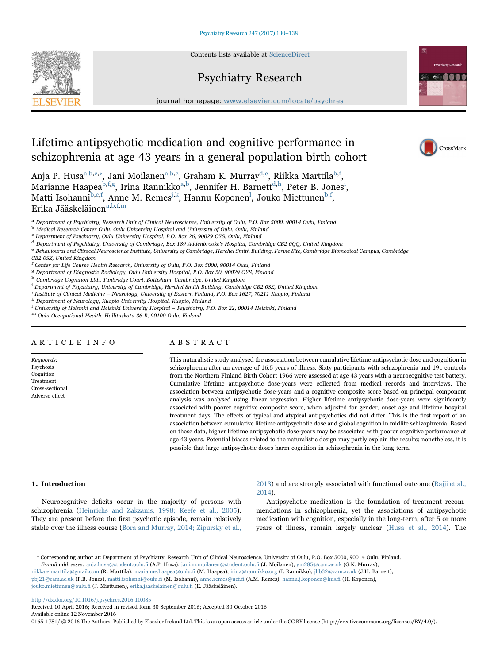Contents lists available at [ScienceDirect](http://www.sciencedirect.com/science/journal/01651781)

# Psychiatry Research

journal homepage: [www.elsevier.com/locate/psychres](http://www.elsevier.com/locate/psychres)



Anja P. Husa<sup>a[,b,](#page-0-1)[c,](#page-0-2)</sup>\*, J[a](#page-0-0)ni Moilanen<sup>a,b,[c](#page-0-2)</sup>, Graham K. Murray<sup>d,[e](#page-0-5)</sup>, Riikka Marttila<sup>b,[f](#page-0-6)</sup>, Marianne Haapea<sup>[b,](#page-0-1)[f](#page-0-6),[g](#page-0-7)</sup>, Irina Rannikko<sup>[a,](#page-0-0)[b](#page-0-1)</sup>, Jennifer H. Barnett<sup>[d](#page-0-4)[,h](#page-0-8)</sup>, Peter B. Jones<sup>[i](#page-0-9)</sup>, Matti Isohanni $^{\rm b,c,f}$  $^{\rm b,c,f}$  $^{\rm b,c,f}$  $^{\rm b,c,f}$  $^{\rm b,c,f}$  $^{\rm b,c,f}$ , Anne M. Remes $^{\rm j,k}$  $^{\rm j,k}$  $^{\rm j,k}$ , Hannu Koponen $^{\rm l}$  $^{\rm l}$  $^{\rm l}$ , Jouko Miettunen $^{\rm b,f}$  $^{\rm b,f}$  $^{\rm b,f}$ , Erika Jääskeläinen<sup>[a,](#page-0-0)[b](#page-0-1),[f](#page-0-6)[,m](#page-0-13)</sup>

<span id="page-0-0"></span>a Department of Psychiatry, Research Unit of Clinical Neuroscience, University of Oulu, P.O. Box 5000, 90014 Oulu, Finland

<span id="page-0-4"></span><span id="page-0-2"></span>

<span id="page-0-1"></span><sup>b</sup> Medical Research Center Oulu, Oulu University Hospital and University of Oulu, Oulu, Finland<br><sup>c</sup> Department of Psychiatry, Oulu University Hospital, P.O. Box 26, 90029 OYS, Oulu, Finland<br><sup>d</sup> Department of Psychiatry,

<span id="page-0-5"></span>e Behavioural and Clinical Neuroscience Institute, University of Cambridge, Herchel Smith Building, Forvie Site, Cambridge Biomedical Campus, Cambridge

CB2 0SZ, United Kingdom<br><sup>f</sup> Center for Life Course H

<span id="page-0-6"></span>Center for Life Course Health Research, University of Oulu, P.O. Box 5000, 90014 Oulu, Finland

<span id="page-0-7"></span><sup>g</sup> Department of Diagnostic Radiology, Oulu University Hospital, P.O. Box 50, 90029 OYS, Finland

<span id="page-0-8"></span>h Cambridge Cognition Ltd., Tunbridge Court, Bottisham, Cambridge, United Kingdom

<span id="page-0-9"></span><sup>i</sup> Department of Psychiatry, University of Cambridge, Herchel Smith Building, Cambridge CB2 0SZ, United Kingdom

<span id="page-0-10"></span><sup>j</sup> Institute of Clinical Medicine – Neurology, University of Eastern Finland, P.O. Box 1627, 70211 Kuopio, Finland<br><sup>k</sup> Department of Neurology, Kuopio University Hospital, Kuopio, Finland

<span id="page-0-12"></span>

<span id="page-0-11"></span><sup>k</sup> Department of Neurology, Kuopio University Hospital, Kuopio, Finland<br><sup>1</sup> University of Helsinki and Helsinki University Hospital – Psychiatry, P.O. Box 22, 00014 Helsinki, Finland

<span id="page-0-13"></span> $^{\rm m}$  Oulu Occupational Health, Hallituskatu 36 B, 90100 Oulu, Finland

## ARTICLE INFO

Keywords: Psychosis Cognition Treatment Cross-sectional Adverse effect

## ABSTRACT

This naturalistic study analysed the association between cumulative lifetime antipsychotic dose and cognition in schizophrenia after an average of 16.5 years of illness. Sixty participants with schizophrenia and 191 controls from the Northern Finland Birth Cohort 1966 were assessed at age 43 years with a neurocognitive test battery. Cumulative lifetime antipsychotic dose-years were collected from medical records and interviews. The association between antipsychotic dose-years and a cognitive composite score based on principal component analysis was analysed using linear regression. Higher lifetime antipsychotic dose-years were significantly associated with poorer cognitive composite score, when adjusted for gender, onset age and lifetime hospital treatment days. The effects of typical and atypical antipsychotics did not differ. This is the first report of an association between cumulative lifetime antipsychotic dose and global cognition in midlife schizophrenia. Based on these data, higher lifetime antipsychotic dose-years may be associated with poorer cognitive performance at age 43 years. Potential biases related to the naturalistic design may partly explain the results; nonetheless, it is possible that large antipsychotic doses harm cognition in schizophrenia in the long-term.

## 1. Introduction

Neurocognitive deficits occur in the majority of persons with schizophrenia ([Heinrichs and Zakzanis, 1998; Keefe et al., 2005\)](#page-7-0). They are present before the first psychotic episode, remain relatively stable over the illness course [\(Bora and Murray, 2014; Zipursky et al.,](#page-7-1)

[2013\)](#page-7-1) and are strongly associated with functional outcome [\(Rajji et al.,](#page-7-2) [2014\)](#page-7-2).

Antipsychotic medication is the foundation of treatment recommendations in schizophrenia, yet the associations of antipsychotic medication with cognition, especially in the long-term, after 5 or more years of illness, remain largely unclear [\(Husa et al., 2014\)](#page-7-3). The

E-mail addresses: anja.husa@student.oulu.fi (A.P. Husa), jani.m.moilanen@student.oulu.fi (J. Moilanen), gm285@cam.ac.uk (G.K. Murray),

riikka.e.marttila@gmail.com (R. Marttila), marianne.haapea@oulu.fi (M. Haapea), irina@rannikko.org (I. Rannikko), jhb32@cam.ac.uk (J.H. Barnett),

<http://dx.doi.org/10.1016/j.psychres.2016.10.085>

Received 10 April 2016; Received in revised form 30 September 2016; Accepted 30 October 2016 Available online 12 November 2016

0165-1781/ © 2016 The Authors. Published by Elsevier Ireland Ltd. This is an open access article under the CC BY license (http://creativecommons.org/licenses/BY/4.0/).







<span id="page-0-3"></span><sup>⁎</sup> Corresponding author at: Department of Psychiatry, Research Unit of Clinical Neuroscience, University of Oulu, P.O. Box 5000, 90014 Oulu, Finland.

pbj21@cam.ac.uk (P.B. Jones), matti.isohanni@oulu.fi (M. Isohanni), anne.remes@uef.fi (A.M. Remes), hannu.j.koponen@hus.fi (H. Koponen), jouko.miettunen@oulu.fi (J. Miettunen), erika.jaaskelainen@oulu.fi (E. Jääskeläinen).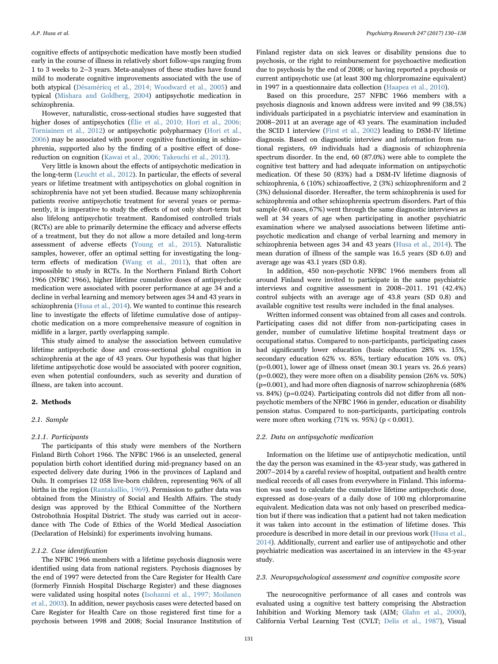cognitive effects of antipsychotic medication have mostly been studied early in the course of illness in relatively short follow-ups ranging from 1 to 3 weeks to 2–3 years. Meta-analyses of these studies have found mild to moderate cognitive improvements associated with the use of both atypical [\(Désaméricq et al., 2014; Woodward et al., 2005\)](#page-7-4) and typical ([Mishara and Goldberg, 2004](#page-7-5)) antipsychotic medication in schizophrenia.

However, naturalistic, cross-sectional studies have suggested that higher doses of antipsychotics ([Élie et al., 2010; Hori et al., 2006;](#page-7-6) [Torniainen et al., 2012\)](#page-7-6) or antipsychotic polypharmacy ([Hori et al.,](#page-7-7) [2006\)](#page-7-7) may be associated with poorer cognitive functioning in schizophrenia, supported also by the finding of a positive effect of dosereduction on cognition ([Kawai et al., 2006; Takeuchi et al., 2013](#page-7-8)).

Very little is known about the effects of antipsychotic medication in the long-term ([Leucht et al., 2012\)](#page-7-9). In particular, the effects of several years or lifetime treatment with antipsychotics on global cognition in schizophrenia have not yet been studied. Because many schizophrenia patients receive antipsychotic treatment for several years or permanently, it is imperative to study the effects of not only short-term but also lifelong antipsychotic treatment. Randomised controlled trials (RCTs) are able to primarily determine the efficacy and adverse effects of a treatment, but they do not allow a more detailed and long-term assessment of adverse effects ([Young et al., 2015](#page-8-0)). Naturalistic samples, however, offer an optimal setting for investigating the longterm effects of medication [\(Wang et al., 2011\)](#page-7-10), that often are impossible to study in RCTs. In the Northern Finland Birth Cohort 1966 (NFBC 1966), higher lifetime cumulative doses of antipsychotic medication were associated with poorer performance at age 34 and a decline in verbal learning and memory between ages 34 and 43 years in schizophrenia ([Husa et al., 2014](#page-7-3)). We wanted to continue this research line to investigate the effects of lifetime cumulative dose of antipsychotic medication on a more comprehensive measure of cognition in midlife in a larger, partly overlapping sample.

This study aimed to analyse the association between cumulative lifetime antipsychotic dose and cross-sectional global cognition in schizophrenia at the age of 43 years. Our hypothesis was that higher lifetime antipsychotic dose would be associated with poorer cognition, even when potential confounders, such as severity and duration of illness, are taken into account.

### 2. Methods

### 2.1. Sample

#### 2.1.1. Participants

The participants of this study were members of the Northern Finland Birth Cohort 1966. The NFBC 1966 is an unselected, general population birth cohort identified during mid-pregnancy based on an expected delivery date during 1966 in the provinces of Lapland and Oulu. It comprises 12 058 live-born children, representing 96% of all births in the region [\(Rantakallio, 1969](#page-7-11)). Permission to gather data was obtained from the Ministry of Social and Health Affairs. The study design was approved by the Ethical Committee of the Northern Ostrobothnia Hospital District. The study was carried out in accordance with The Code of Ethics of the World Medical Association (Declaration of Helsinki) for experiments involving humans.

## 2.1.2. Case identification

The NFBC 1966 members with a lifetime psychosis diagnosis were identified using data from national registers. Psychosis diagnoses by the end of 1997 were detected from the Care Register for Health Care (formerly Finnish Hospital Discharge Register) and these diagnoses were validated using hospital notes ([Isohanni et al., 1997; Moilanen](#page-7-12) [et al., 2003\)](#page-7-12). In addition, newer psychosis cases were detected based on Care Register for Health Care on those registered first time for a psychosis between 1998 and 2008; Social Insurance Institution of

Finland register data on sick leaves or disability pensions due to psychosis, or the right to reimbursement for psychoactive medication due to psychosis by the end of 2008; or having reported a psychosis or current antipsychotic use (at least 300 mg chlorpromazine equivalent) in 1997 in a questionnaire data collection [\(Haapea et al., 2010](#page-7-13)).

Based on this procedure, 257 NFBC 1966 members with a psychosis diagnosis and known address were invited and 99 (38.5%) individuals participated in a psychiatric interview and examination in 2008–2011 at an average age of 43 years. The examination included the SCID I interview [\(First et al., 2002\)](#page-7-14) leading to DSM-IV lifetime diagnosis. Based on diagnostic interview and information from national registers, 69 individuals had a diagnosis of schizophrenia spectrum disorder. In the end, 60 (87.0%) were able to complete the cognitive test battery and had adequate information on antipsychotic medication. Of these 50 (83%) had a DSM-IV lifetime diagnosis of schizophrenia, 6 (10%) schizoaffective, 2 (3%) schizophreniform and 2 (3%) delusional disorder. Hereafter, the term schizophrenia is used for schizophrenia and other schizophrenia spectrum disorders. Part of this sample (40 cases, 67%) went through the same diagnostic interviews as well at 34 years of age when participating in another psychiatric examination where we analysed associations between lifetime antipsychotic medication and change of verbal learning and memory in schizophrenia between ages 34 and 43 years ([Husa et al., 2014](#page-7-3)). The mean duration of illness of the sample was 16.5 years (SD 6.0) and average age was 43.1 years (SD 0.8).

In addition, 450 non-psychotic NFBC 1966 members from all around Finland were invited to participate in the same psychiatric interviews and cognitive assessment in 2008–2011. 191 (42.4%) control subjects with an average age of 43.8 years (SD 0.8) and available cognitive test results were included in the final analyses.

Written informed consent was obtained from all cases and controls. Participating cases did not differ from non-participating cases in gender, number of cumulative lifetime hospital treatment days or occupational status. Compared to non-participants, participating cases had significantly lower education (basic education 28% vs. 15%, secondary education 62% vs. 85%, tertiary education 10% vs. 0%) (p=0.001), lower age of illness onset (mean 30.1 years vs. 26.6 years) (p=0.002), they were more often on a disability pension (26% vs. 50%) (p=0.001), and had more often diagnosis of narrow schizophrenia (68% vs. 84%) (p=0.024). Participating controls did not differ from all nonpsychotic members of the NFBC 1966 in gender, education or disability pension status. Compared to non-participants, participating controls were more often working  $(71\% \text{ vs. } 95\%)$  (p < 0.001).

## 2.2. Data on antipsychotic medication

Information on the lifetime use of antipsychotic medication, until the day the person was examined in the 43-year study, was gathered in 2007–2014 by a careful review of hospital, outpatient and health centre medical records of all cases from everywhere in Finland. This information was used to calculate the cumulative lifetime antipsychotic dose, expressed as dose-years of a daily dose of 100 mg chlorpromazine equivalent. Medication data was not only based on prescribed medication but if there was indication that a patient had not taken medication it was taken into account in the estimation of lifetime doses. This procedure is described in more detail in our previous work ([Husa et al.,](#page-7-3) [2014\)](#page-7-3). Additionally, current and earlier use of antipsychotic and other psychiatric medication was ascertained in an interview in the 43-year study.

#### 2.3. Neuropsychological assessment and cognitive composite score

The neurocognitive performance of all cases and controls was evaluated using a cognitive test battery comprising the Abstraction Inhibition and Working Memory task (AIM; [Glahn et al., 2000\)](#page-7-15), California Verbal Learning Test (CVLT; [Delis et al., 1987](#page-7-16)), Visual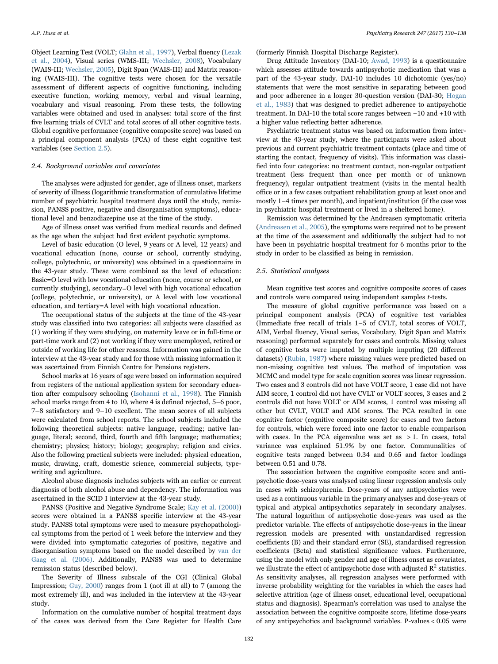Object Learning Test (VOLT; [Glahn et al., 1997](#page-7-17)), Verbal fluency [\(Lezak](#page-7-18) [et al., 2004](#page-7-18)), Visual series (WMS-III; [Wechsler, 2008\)](#page-7-19), Vocabulary (WAIS-III; [Wechsler, 2005](#page-7-20)), Digit Span (WAIS-III) and Matrix reasoning (WAIS-III). The cognitive tests were chosen for the versatile assessment of different aspects of cognitive functioning, including executive function, working memory, verbal and visual learning, vocabulary and visual reasoning. From these tests, the following variables were obtained and used in analyses: total score of the first five learning trials of CVLT and total scores of all other cognitive tests. Global cognitive performance (cognitive composite score) was based on a principal component analysis (PCA) of these eight cognitive test variables (see [Section 2.5\)](#page-2-0).

## 2.4. Background variables and covariates

The analyses were adjusted for gender, age of illness onset, markers of severity of illness (logarithmic transformation of cumulative lifetime number of psychiatric hospital treatment days until the study, remission, PANSS positive, negative and disorganisation symptoms), educational level and benzodiazepine use at the time of the study.

Age of illness onset was verified from medical records and defined as the age when the subject had first evident psychotic symptoms.

Level of basic education (O level, 9 years or A level, 12 years) and vocational education (none, course or school, currently studying, college, polytechnic, or university) was obtained in a questionnaire in the 43-year study. These were combined as the level of education: Basic=O level with low vocational education (none, course or school, or currently studying), secondary=O level with high vocational education (college, polytechnic, or university), or A level with low vocational education, and tertiary=A level with high vocational education.

The occupational status of the subjects at the time of the 43-year study was classified into two categories: all subjects were classified as (1) working if they were studying, on maternity leave or in full-time or part-time work and (2) not working if they were unemployed, retired or outside of working life for other reasons. Information was gained in the interview at the 43-year study and for those with missing information it was ascertained from Finnish Centre for Pensions registers.

School marks at 16 years of age were based on information acquired from registers of the national application system for secondary education after compulsory schooling ([Isohanni et al., 1998](#page-7-21)). The Finnish school marks range from 4 to 10, where 4 is defined rejected, 5–6 poor, 7–8 satisfactory and 9–10 excellent. The mean scores of all subjects were calculated from school reports. The school subjects included the following theoretical subjects: native language, reading; native language, literal; second, third, fourth and fifth language; mathematics; chemistry; physics; history; biology; geography; religion and civics. Also the following practical subjects were included: physical education, music, drawing, craft, domestic science, commercial subjects, typewriting and agriculture.

Alcohol abuse diagnosis includes subjects with an earlier or current diagnosis of both alcohol abuse and dependency. The information was ascertained in the SCID I interview at the 43-year study.

PANSS (Positive and Negative Syndrome Scale; [Kay et al. \(2000\)\)](#page-7-22) scores were obtained in a PANSS specific interview at the 43-year study. PANSS total symptoms were used to measure psychopathological symptoms from the period of 1 week before the interview and they were divided into symptomatic categories of positive, negative and disorganisation symptoms based on the model described by [van der](#page-7-23) [Gaag et al. \(2006\)](#page-7-23). Additionally, PANSS was used to determine remission status (described below).

The Severity of Illness subscale of the CGI (Clinical Global Impression; [Guy, 2000](#page-7-24)) ranges from 1 (not ill at all) to 7 (among the most extremely ill), and was included in the interview at the 43-year study.

Information on the cumulative number of hospital treatment days of the cases was derived from the Care Register for Health Care

(formerly Finnish Hospital Discharge Register).

Drug Attitude Inventory (DAI-10; [Awad, 1993](#page-6-0)) is a questionnaire which assesses attitude towards antipsychotic medication that was a part of the 43-year study. DAI-10 includes 10 dichotomic (yes/no) statements that were the most sensitive in separating between good and poor adherence in a longer 30-question version (DAI-30; [Hogan](#page-7-25) [et al., 1983](#page-7-25)) that was designed to predict adherence to antipsychotic treatment. In DAI-10 the total score ranges between −10 and +10 with a higher value reflecting better adherence.

Psychiatric treatment status was based on information from interview at the 43-year study, where the participants were asked about previous and current psychiatric treatment contacts (place and time of starting the contact, frequency of visits). This information was classified into four categories: no treatment contact, non-regular outpatient treatment (less frequent than once per month or of unknown frequency), regular outpatient treatment (visits in the mental health office or in a few cases outpatient rehabilitation group at least once and mostly 1–4 times per month), and inpatient/institution (if the case was in psychiatric hospital treatment or lived in a sheltered home).

Remission was determined by the Andreasen symptomatic criteria ([Andreasen et al., 2005](#page-6-1)), the symptoms were required not to be present at the time of the assessment and additionally the subject had to not have been in psychiatric hospital treatment for 6 months prior to the study in order to be classified as being in remission.

#### <span id="page-2-0"></span>2.5. Statistical analyses

Mean cognitive test scores and cognitive composite scores of cases and controls were compared using independent samples t-tests.

The measure of global cognitive performance was based on a principal component analysis (PCA) of cognitive test variables (Immediate free recall of trials 1–5 of CVLT, total scores of VOLT, AIM, Verbal fluency, Visual series, Vocabulary, Digit Span and Matrix reasoning) performed separately for cases and controls. Missing values of cognitive tests were imputed by multiple imputing (20 different datasets) ([Rubin, 1987\)](#page-7-26) where missing values were predicted based on non-missing cognitive test values. The method of imputation was MCMC and model type for scale cognition scores was linear regression. Two cases and 3 controls did not have VOLT score, 1 case did not have AIM score, 1 control did not have CVLT or VOLT scores, 3 cases and 2 controls did not have VOLT or AIM scores, 1 control was missing all other but CVLT, VOLT and AIM scores. The PCA resulted in one cognitive factor (cognitive composite score) for cases and two factors for controls, which were forced into one factor to enable comparison with cases. In the PCA eigenvalue was set as > 1. In cases, total variance was explained 51.9% by one factor. Communalities of cognitive tests ranged between 0.34 and 0.65 and factor loadings between 0.51 and 0.78.

The association between the cognitive composite score and antipsychotic dose-years was analysed using linear regression analysis only in cases with schizophrenia. Dose-years of any antipsychotics were used as a continuous variable in the primary analyses and dose-years of typical and atypical antipsychotics separately in secondary analyses. The natural logarithm of antipsychotic dose-years was used as the predictor variable. The effects of antipsychotic dose-years in the linear regression models are presented with unstandardised regression coefficients (B) and their standard error (SE), standardised regression coefficients (Beta) and statistical significance values. Furthermore, using the model with only gender and age of illness onset as covariates, we illustrate the effect of antipsychotic dose with adjusted  $R^2$  statistics. As sensitivity analyses, all regression analyses were performed with inverse probability weighting for the variables in which the cases had selective attrition (age of illness onset, educational level, occupational status and diagnosis). Spearman's correlation was used to analyse the association between the cognitive composite score, lifetime dose-years of any antipsychotics and background variables. P-values < 0.05 were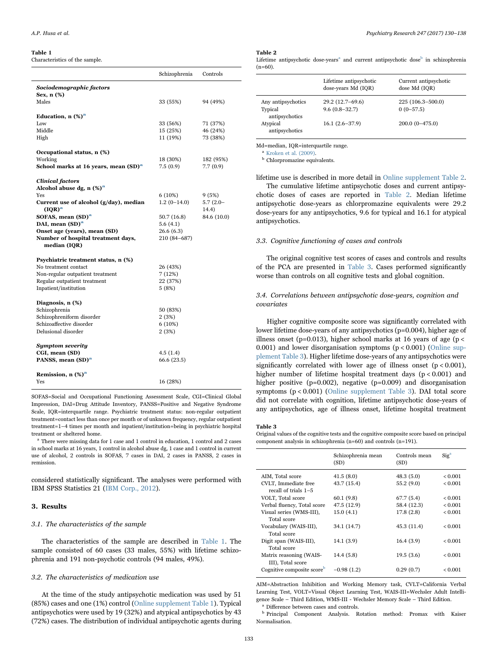#### <span id="page-3-0"></span>Table 1

Characteristics of the sample.

|                                                  | Schizophrenia | Controls    |  |  |
|--------------------------------------------------|---------------|-------------|--|--|
| Sociodemographic factors                         |               |             |  |  |
| Sex, n (%)                                       |               |             |  |  |
| Males                                            | 33 (55%)      | 94 (49%)    |  |  |
|                                                  |               |             |  |  |
| Education, n (%) <sup>a</sup>                    |               |             |  |  |
| Low                                              | 33 (56%)      | 71 (37%)    |  |  |
| Middle                                           | 15 (25%)      | 46 (24%)    |  |  |
| High                                             | 11 (19%)      | 73 (38%)    |  |  |
| Occupational status, n (%)                       |               |             |  |  |
| Working                                          | 18 (30%)      | 182 (95%)   |  |  |
| School marks at 16 years, mean (SD) <sup>a</sup> | 7.5(0.9)      | 7.7(0.9)    |  |  |
|                                                  |               |             |  |  |
| <b>Clinical factors</b>                          |               |             |  |  |
| Alcohol abuse dg, $n$ $(\%)^a$                   |               |             |  |  |
| Yes                                              | 6(10%)        | 9(5%)       |  |  |
| Current use of alcohol (g/day), median           | $1.2(0-14.0)$ | $5.7(2.0 -$ |  |  |
| $( IQR)^a$                                       |               | 14.4)       |  |  |
| SOFAS, mean (SD) <sup>a</sup>                    | 50.7 (16.8)   | 84.6 (10.0) |  |  |
| DAI, mean (SD) <sup>a</sup>                      | 5.6(4.1)      |             |  |  |
| Onset age (years), mean (SD)                     | 26.6 (6.3)    |             |  |  |
| Number of hospital treatment days,               | 210 (84-687)  |             |  |  |
| median (IQR)                                     |               |             |  |  |
| Psychiatric treatment status, n (%)              |               |             |  |  |
| No treatment contact                             | 26 (43%)      |             |  |  |
| Non-regular outpatient treatment                 | 7 (12%)       |             |  |  |
| Regular outpatient treatment                     | 22 (37%)      |             |  |  |
| Inpatient/institution                            | 5 (8%)        |             |  |  |
| Diagnosis, n (%)                                 |               |             |  |  |
| Schizophrenia                                    | 50 (83%)      |             |  |  |
| Schizophreniform disorder                        | 2 (3%)        |             |  |  |
| Schizoaffective disorder                         | 6(10%)        |             |  |  |
| Delusional disorder                              | 2 (3%)        |             |  |  |
|                                                  |               |             |  |  |
| <b>Symptom severity</b>                          |               |             |  |  |
| CGI, mean (SD)                                   | 4.5(1.4)      |             |  |  |
| PANSS, mean (SD) <sup>a</sup>                    | 66.6 (23.5)   |             |  |  |
| Remission, $n$ $(\%)^a$                          |               |             |  |  |
| Yes                                              | 16 (28%)      |             |  |  |
|                                                  |               |             |  |  |

SOFAS=Social and Occupational Functioning Assessment Scale, CGI=Clinical Global Impression, DAI=Drug Attitude Inventory, PANSS=Positive and Negative Syndrome Scale, IQR=interquartile range. Psychiatric treatment status: non-regular outpatient treatment=contact less than once per month or of unknown frequency, regular outpatient treatment=1–4 times per month and inpatient/institution=being in psychiatric hospital treatment or sheltered home.

<sup>a</sup> There were missing data for 1 case and 1 control in education, 1 control and 2 cases in school marks at 16 years, 1 control in alcohol abuse dg, 1 case and 1 control in current use of alcohol, 2 controls in SOFAS, 7 cases in DAI, 2 cases in PANSS, 2 cases in remission.

considered statistically significant. The analyses were performed with IBM SPSS Statistics 21 [\(IBM Corp., 2012\)](#page-7-27).

## 3. Results

## 3.1. The characteristics of the sample

The characteristics of the sample are described in [Table 1](#page-3-0). The sample consisted of 60 cases (33 males, 55%) with lifetime schizophrenia and 191 non-psychotic controls (94 males, 49%).

### 3.2. The characteristics of medication use

At the time of the study antipsychotic medication was used by 51 (85%) cases and one (1%) control (Online supplement Table 1). Typical antipsychotics were used by 19 (32%) and atypical antipsychotics by 43 (72%) cases. The distribution of individual antipsychotic agents during

## <span id="page-3-1"></span>Table 2

Lifetime antipsychotic dose-years<sup>a</sup> and current antipsychotic dose<sup>b</sup> in schizophrenia  $(n=60)$ .

|                                                 | Lifetime antipsychotic<br>Current antipsychotic<br>dose-years Md (IQR)<br>dose Md (IQR) |                                  |
|-------------------------------------------------|-----------------------------------------------------------------------------------------|----------------------------------|
| Any antipsychotics<br>Typical<br>antipsychotics | 29.2 (12.7-69.6)<br>$9.6(0.8 - 32.7)$                                                   | 225 (106.3-500.0)<br>$0(0-57.5)$ |
| Atypical<br>antipsychotics                      | $16.1(2.6-37.9)$                                                                        | $200.0 (0 - 475.0)$              |

Md=median, IQR=interquartile range.

<sup>a</sup> [Kroken et al. \(2009\).](#page-7-28)

 $^{\rm b}$  Chlorpromazine equivalents.

lifetime use is described in more detail in Online supplement Table 2.

The cumulative lifetime antipsychotic doses and current antipsychotic doses of cases are reported in [Table 2](#page-3-1). Median lifetime antipsychotic dose-years as chlorpromazine equivalents were 29.2 dose-years for any antipsychotics, 9.6 for typical and 16.1 for atypical antipsychotics.

## 3.3. Cognitive functioning of cases and controls

The original cognitive test scores of cases and controls and results of the PCA are presented in [Table 3](#page-3-2). Cases performed significantly worse than controls on all cognitive tests and global cognition.

## 3.4. Correlations between antipsychotic dose-years, cognition and covariates

Higher cognitive composite score was significantly correlated with lower lifetime dose-years of any antipsychotics (p=0.004), higher age of illness onset (p=0.013), higher school marks at 16 years of age (p < 0.001) and lower disorganisation symptoms  $(p < 0.001)$  (Online supplement Table 3). Higher lifetime dose-years of any antipsychotics were significantly correlated with lower age of illness onset  $(p < 0.001)$ , higher number of lifetime hospital treatment days (p < 0.001) and higher positive (p=0.002), negative (p=0.009) and disorganisation symptoms (p < 0.001) (Online supplement Table 3). DAI total score did not correlate with cognition, lifetime antipsychotic dose-years of any antipsychotics, age of illness onset, lifetime hospital treatment

#### <span id="page-3-2"></span>Table 3

Original values of the cognitive tests and the cognitive composite score based on principal component analysis in schizophrenia (n=60) and controls (n=191).

|                                                | Schizophrenia mean<br>(SD) | Controls mean<br>(SD) | Sig <sup>a</sup> |  |  |
|------------------------------------------------|----------------------------|-----------------------|------------------|--|--|
| AIM, Total score                               | 41.5(8.0)                  | 48.3(5.0)             | ${}_{< 0.001}$   |  |  |
| CVLT, Immediate free<br>recall of trials $1-5$ | 43.7(15.4)                 | 55.2 (9.0)            | < 0.001          |  |  |
| VOLT, Total score                              | 60.1(9.8)                  | 67.7(5.4)             | < 0.001          |  |  |
| Verbal fluency, Total score                    | 47.5 (12.9)                | 58.4 (12.3)           | ${}_{< 0.001}$   |  |  |
| Visual series (WMS-III),<br>Total score        | 15.0(4.1)                  | 17.8 (2.8)            | ${}_{< 0.001}$   |  |  |
| Vocabulary (WAIS-III),<br>Total score          | 34.1 (14.7)                | 45.3 (11.4)           | < 0.001          |  |  |
| Digit span (WAIS-III),<br>Total score          | 14.1(3.9)                  | 16.4(3.9)             | < 0.001          |  |  |
| Matrix reasoning (WAIS-<br>III), Total score   | 14.4(5.8)                  | 19.5 (3.6)            | < 0.001          |  |  |
| Cognitive composite score <sup>b</sup>         | $-0.98(1.2)$               | 0.29(0.7)             | < 0.001          |  |  |

AIM=Abstraction Inhibition and Working Memory task, CVLT=California Verbal Learning Test, VOLT=Visual Object Learning Test, WAIS-III=Wechsler Adult Intelligence Scale – Third Edition, WMS-III - Wechsler Memory Scale – Third Edition. <sup>a</sup> Difference between cases and controls.

<sup>b</sup> Principal Component Analysis. Rotation method: Promax with Kaiser Normalisation.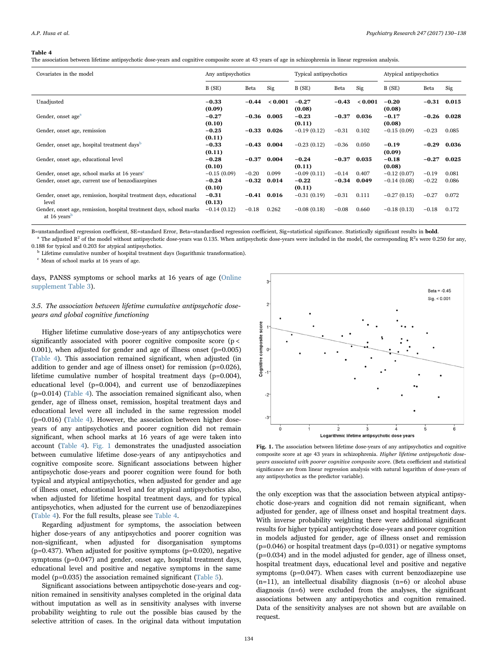#### <span id="page-4-0"></span>Table 4

The association between lifetime antipsychotic dose-years and cognitive composite score at 43 years of age in schizophrenia in linear regression analysis.

| Covariates in the model                                                                         | Any antipsychotics |         |               | Typical antipsychotics |         |       | Atypical antipsychotics |         |               |
|-------------------------------------------------------------------------------------------------|--------------------|---------|---------------|------------------------|---------|-------|-------------------------|---------|---------------|
|                                                                                                 | B(SE)              | Beta    | Sig           | B(SE)                  | Beta    | Sig   | B(SE)                   | Beta    | Sig           |
| Unadjusted                                                                                      | $-0.33$            | $-0.44$ | 0.001         | $-0.27$                | $-0.43$ | 0.001 | $-0.20$                 | $-0.31$ | 0.015         |
|                                                                                                 | (0.09)             |         |               | (0.08)                 |         |       | (0.08)                  |         |               |
| Gender, onset age <sup>a</sup>                                                                  | $-0.27$            |         | $-0.36$ 0.005 | $-0.23$                | $-0.37$ | 0.036 | $-0.17$                 |         | $-0.26$ 0.028 |
|                                                                                                 | (0.10)             |         |               | (0.11)                 |         |       | (0.08)                  |         |               |
| Gender, onset age, remission                                                                    | $-0.25$            |         | $-0.33$ 0.026 | $-0.19(0.12)$          | $-0.31$ | 0.102 | $-0.15(0.09)$           | $-0.23$ | 0.085         |
|                                                                                                 | (0.11)             |         |               |                        |         |       |                         |         |               |
| Gender, onset age, hospital treatment days <sup>b</sup>                                         | $-0.33$            |         | $-0.43$ 0.004 | $-0.23(0.12)$          | $-0.36$ | 0.050 | $-0.19$                 | $-0.29$ | 0.036         |
|                                                                                                 | (0.11)             |         |               |                        |         |       | (0.09)                  |         |               |
| Gender, onset age, educational level                                                            | $-0.28$            | $-0.37$ | 0.004         | $-0.24$                | $-0.37$ | 0.035 | $-0.18$                 | $-0.27$ | 0.025         |
|                                                                                                 | (0.10)             |         |               | (0.11)                 |         |       | (0.08)                  |         |               |
| Gender, onset age, school marks at 16 years <sup>c</sup>                                        | $-0.15(0.09)$      | $-0.20$ | 0.099         | $-0.09(0.11)$          | $-0.14$ | 0.407 | $-0.12(0.07)$           | $-0.19$ | 0.081         |
| Gender, onset age, current use of benzodiazepines                                               | $-0.24$            | $-0.32$ | 0.014         | $-0.22$                | $-0.34$ | 0.049 | $-0.14(0.08)$           | $-0.22$ | 0.086         |
|                                                                                                 | (0.10)             |         |               | (0.11)                 |         |       |                         |         |               |
| Gender, onset age, remission, hospital treatment days, educational                              | $-0.31$            |         | $-0.41$ 0.016 | $-0.31(0.19)$          | $-0.31$ | 0.111 | $-0.27(0.15)$           | $-0.27$ | 0.072         |
| level                                                                                           | (0.13)             |         |               |                        |         |       |                         |         |               |
| Gender, onset age, remission, hospital treatment days, school marks<br>at 16 years <sup>b</sup> | $-0.14(0.12)$      | $-0.18$ | 0.262         | $-0.08(0.18)$          | $-0.08$ | 0.660 | $-0.18(0.13)$           | $-0.18$ | 0.172         |

B=unstandardised regression coefficient, SE=standard Error, Beta=standardised regression coefficient, Sig=statistical significance. Statistically significant results in **bold**.

<sup>a</sup> The adjusted  $R^2$  of the model without antipsychotic dose-years was 0.135. When antipsychotic dose-years were included in the model, the corresponding  $R^2$ s were 0.250 for any, 0.188 for typical and 0.203 for atypical antipsychotics.

**b** Lifetime cumulative number of hospital treatment days (logarithmic transformation).

<sup>c</sup> Mean of school marks at 16 years of age.

days, PANSS symptoms or school marks at 16 years of age (Online supplement Table 3).

## 3.5. The association between lifetime cumulative antipsychotic doseyears and global cognitive functioning

Higher lifetime cumulative dose-years of any antipsychotics were significantly associated with poorer cognitive composite score (p < 0.001), when adjusted for gender and age of illness onset (p=0.005) ([Table 4\)](#page-4-0). This association remained significant, when adjusted (in addition to gender and age of illness onset) for remission (p=0.026), lifetime cumulative number of hospital treatment days (p=0.004), educational level (p=0.004), and current use of benzodiazepines  $(p=0.014)$  [\(Table 4\)](#page-4-0). The association remained significant also, when gender, age of illness onset, remission, hospital treatment days and educational level were all included in the same regression model (p=0.016) ([Table 4](#page-4-0)). However, the association between higher doseyears of any antipsychotics and poorer cognition did not remain significant, when school marks at 16 years of age were taken into account ([Table 4](#page-4-0)). [Fig. 1](#page-4-1) demonstrates the unadjusted association between cumulative lifetime dose-years of any antipsychotics and cognitive composite score. Significant associations between higher antipsychotic dose-years and poorer cognition were found for both typical and atypical antipsychotics, when adjusted for gender and age of illness onset, educational level and for atypical antipsychotics also, when adjusted for lifetime hospital treatment days, and for typical antipsychotics, when adjusted for the current use of benzodiazepines ([Table 4](#page-4-0)). For the full results, please see [Table 4.](#page-4-0)

Regarding adjustment for symptoms, the association between higher dose-years of any antipsychotics and poorer cognition was non-significant, when adjusted for disorganisation symptoms ( $p=0.437$ ). When adjusted for positive symptoms ( $p=0.020$ ), negative symptoms (p=0.047) and gender, onset age, hospital treatment days, educational level and positive and negative symptoms in the same model (p=0.035) the association remained significant [\(Table 5\)](#page-5-0).

Significant associations between antipsychotic dose-years and cognition remained in sensitivity analyses completed in the original data without imputation as well as in sensitivity analyses with inverse probability weighting to rule out the possible bias caused by the selective attrition of cases. In the original data without imputation

<span id="page-4-1"></span>

Fig. 1. The association between lifetime dose-years of any antipsychotics and cognitive composite score at age 43 years in schizophrenia. Higher lifetime antipsychotic doseyears associated with poorer cognitive composite score. (Beta coefficient and statistical significance are from linear regression analysis with natural logarithm of dose-years of any antipsychotics as the predictor variable).

the only exception was that the association between atypical antipsychotic dose-years and cognition did not remain significant, when adjusted for gender, age of illness onset and hospital treatment days. With inverse probability weighting there were additional significant results for higher typical antipsychotic dose-years and poorer cognition in models adjusted for gender, age of illness onset and remission (p=0.046) or hospital treatment days (p=0.031) or negative symptoms (p=0.034) and in the model adjusted for gender, age of illness onset, hospital treatment days, educational level and positive and negative symptoms (p=0.047). When cases with current benzodiazepine use (n=11), an intellectual disability diagnosis (n=6) or alcohol abuse diagnosis (n=6) were excluded from the analyses, the significant associations between any antipsychotics and cognition remained. Data of the sensitivity analyses are not shown but are available on request.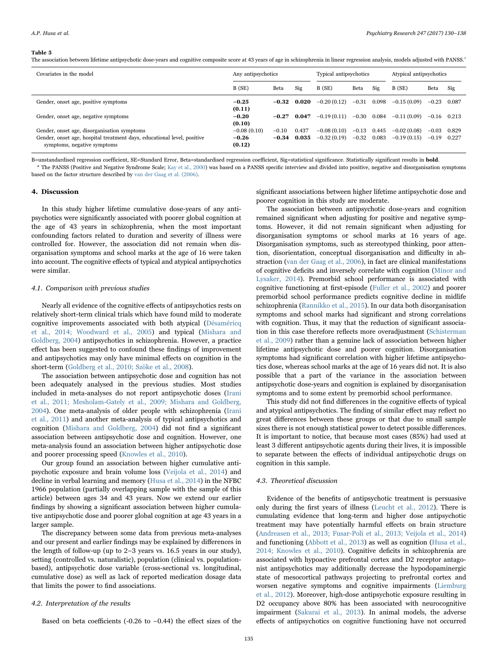#### <span id="page-5-0"></span>Table 5

The association between lifetime antipsychotic dose-years and cognitive composite score at 43 years of age in schizophrenia in linear regression analysis, models adjusted with PANSS.<sup>a</sup>

| Covariates in the model                                                                                                                               | Any antipsychotics                 |                    |                | <b>Typical antipsychotics</b>  |                    |                | Atypical antipsychotics        |                    |                |
|-------------------------------------------------------------------------------------------------------------------------------------------------------|------------------------------------|--------------------|----------------|--------------------------------|--------------------|----------------|--------------------------------|--------------------|----------------|
|                                                                                                                                                       | B(SE)                              | Beta               | Sig            | B(SE)                          | Beta               | Sig            | B(SE)                          | Beta               | Sig            |
| Gender, onset age, positive symptoms                                                                                                                  | $-0.25$<br>(0.11)                  | $-0.32$            | 0.020          | $-0.20(0.12)$                  | $-0.31$            | 0.098          | $-0.15(0.09)$                  | $-0.23$            | 0.087          |
| Gender, onset age, negative symptoms                                                                                                                  | $-0.20$<br>(0.10)                  | $-0.27$            | 0.047          | $-0.19(0.11)$                  | $-0.30$            | 0.084          | $-0.11(0.09)$                  | $-0.16$            | 0.213          |
| Gender, onset age, disorganisation symptoms<br>Gender, onset age, hospital treatment days, educational level, positive<br>symptoms, negative symptoms | $-0.08(0.10)$<br>$-0.26$<br>(0.12) | $-0.10$<br>$-0.34$ | 0.437<br>0.035 | $-0.08(0.10)$<br>$-0.32(0.19)$ | $-0.13$<br>$-0.32$ | 0.445<br>0.083 | $-0.02(0.08)$<br>$-0.19(0.15)$ | $-0.03$<br>$-0.19$ | 0.829<br>0.227 |

B=unstandardised regression coefficient, SE=Standard Error, Beta=standardised regression coefficient, Sig=statistical significance. Statistically significant results in bold.

<sup>a</sup> The PANSS (Positive and Negative Syndrome Scale; [Kay et al., 2000\)](#page-7-22) was based on a PANSS specific interview and divided into positive, negative and disorganisation symptoms based on the factor structure described by [van der Gaag et al. \(2006\).](#page-7-23)

## 4. Discussion

In this study higher lifetime cumulative dose-years of any antipsychotics were significantly associated with poorer global cognition at the age of 43 years in schizophrenia, when the most important confounding factors related to duration and severity of illness were controlled for. However, the association did not remain when disorganisation symptoms and school marks at the age of 16 were taken into account. The cognitive effects of typical and atypical antipsychotics were similar.

## 4.1. Comparison with previous studies

Nearly all evidence of the cognitive effects of antipsychotics rests on relatively short-term clinical trials which have found mild to moderate cognitive improvements associated with both atypical ([Désaméricq](#page-7-4) [et al., 2014; Woodward et al., 2005\)](#page-7-4) and typical ([Mishara and](#page-7-5) [Goldberg, 2004](#page-7-5)) antipsychotics in schizophrenia. However, a practice effect has been suggested to confound these findings of improvement and antipsychotics may only have minimal effects on cognition in the short-term ([Goldberg et al., 2010; Szöke et al., 2008\)](#page-7-29).

The association between antipsychotic dose and cognition has not been adequately analysed in the previous studies. Most studies included in meta-analyses do not report antipsychotic doses [\(Irani](#page-7-30) [et al., 2011; Mesholam-Gately et al., 2009; Mishara and Goldberg,](#page-7-30) [2004\)](#page-7-30). One meta-analysis of older people with schizophrenia [\(Irani](#page-7-30) [et al., 2011](#page-7-30)) and another meta-analysis of typical antipsychotics and cognition [\(Mishara and Goldberg, 2004](#page-7-5)) did not find a significant association between antipsychotic dose and cognition. However, one meta-analysis found an association between higher antipsychotic dose and poorer processing speed ([Knowles et al., 2010](#page-7-31)).

Our group found an association between higher cumulative antipsychotic exposure and brain volume loss ([Veijola et al., 2014\)](#page-7-32) and decline in verbal learning and memory ([Husa et al., 2014\)](#page-7-3) in the NFBC 1966 population (partially overlapping sample with the sample of this article) between ages 34 and 43 years. Now we extend our earlier findings by showing a significant association between higher cumulative antipsychotic dose and poorer global cognition at age 43 years in a larger sample.

The discrepancy between some data from previous meta-analyses and our present and earlier findings may be explained by differences in the length of follow-up (up to 2–3 years vs. 16.5 years in our study), setting (controlled vs. naturalistic), population (clinical vs. populationbased), antipsychotic dose variable (cross-sectional vs. longitudinal, cumulative dose) as well as lack of reported medication dosage data that limits the power to find associations.

### 4.2. Interpretation of the results

Based on beta coefficients (-0.26 to −0.44) the effect sizes of the

significant associations between higher lifetime antipsychotic dose and poorer cognition in this study are moderate.

The association between antipsychotic dose-years and cognition remained significant when adjusting for positive and negative symptoms. However, it did not remain significant when adjusting for disorganisation symptoms or school marks at 16 years of age. Disorganisation symptoms, such as stereotyped thinking, poor attention, disorientation, conceptual disorganisation and difficulty in abstraction [\(van der Gaag et al., 2006](#page-7-23)), in fact are clinical manifestations of cognitive deficits and inversely correlate with cognition ([Minor and](#page-7-33) [Lysaker, 2014](#page-7-33)). Premorbid school performance is associated with cognitive functioning at first-episode ([Fuller et al., 2002](#page-7-34)) and poorer premorbid school performance predicts cognitive decline in midlife schizophrenia ([Rannikko et al., 2015](#page-7-35)). In our data both disorganisation symptoms and school marks had significant and strong correlations with cognition. Thus, it may that the reduction of significant association in this case therefore reflects more overadjustment ([Schisterman](#page-7-36) [et al., 2009](#page-7-36)) rather than a genuine lack of association between higher lifetime antipsychotic dose and poorer cognition. Disorganisation symptoms had significant correlation with higher lifetime antipsychotics dose, whereas school marks at the age of 16 years did not. It is also possible that a part of the variance in the association between antipsychotic dose-years and cognition is explained by disorganisation symptoms and to some extent by premorbid school performance.

This study did not find differences in the cognitive effects of typical and atypical antipsychotics. The finding of similar effect may reflect no great differences between these groups or that due to small sample sizes there is not enough statistical power to detect possible differences. It is important to notice, that because most cases (85%) had used at least 3 different antipsychotic agents during their lives, it is impossible to separate between the effects of individual antipsychotic drugs on cognition in this sample.

## 4.3. Theoretical discussion

Evidence of the benefits of antipsychotic treatment is persuasive only during the first years of illness ([Leucht et al., 2012\)](#page-7-9). There is cumulating evidence that long-term and higher dose antipsychotic treatment may have potentially harmful effects on brain structure ([Andreasen et al., 2013; Fusar-Poli et al., 2013; Veijola et al., 2014\)](#page-6-2) and functioning ([Abbott et al., 2013\)](#page-6-3) as well as cognition ([Husa et al.,](#page-7-3) [2014; Knowles et al., 2010](#page-7-3)). Cognitive deficits in schizophrenia are associated with hypoactive prefrontal cortex and D2 receptor antagonist antipsychotics may additionally decrease the hypodopaminergic state of mesocortical pathways projecting to prefrontal cortex and worsen negative symptoms and cognitive impairments [\(Liemburg](#page-7-37) [et al., 2012](#page-7-37)). Moreover, high-dose antipsychotic exposure resulting in D2 occupancy above 80% has been associated with neurocognitive impairment [\(Sakurai et al., 2013\)](#page-7-38). In animal models, the adverse effects of antipsychotics on cognitive functioning have not occurred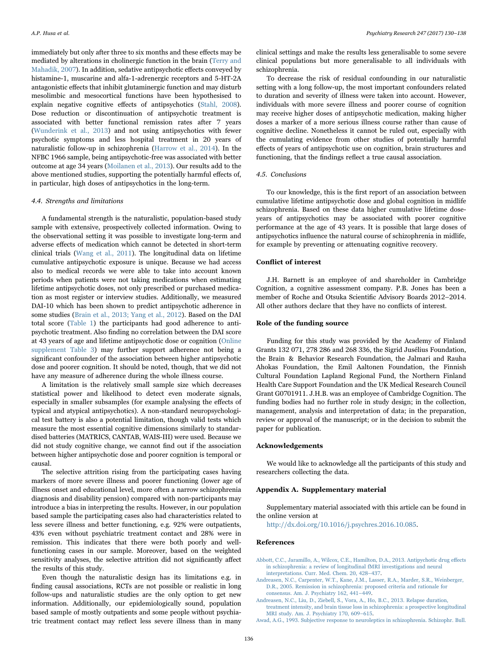immediately but only after three to six months and these effects may be mediated by alterations in cholinergic function in the brain ([Terry and](#page-7-39) [Mahadik, 2007\)](#page-7-39). In addition, sedative antipsychotic effects conveyed by histamine-1, muscarine and alfa-1-adrenergic receptors and 5-HT-2A antagonistic effects that inhibit glutaminergic function and may disturb mesolimbic and mesocortical functions have been hypothesised to explain negative cognitive effects of antipsychotics ([Stahl, 2008\)](#page-7-40). Dose reduction or discontinuation of antipsychotic treatment is associated with better functional remission rates after 7 years ([Wunderink et al., 2013](#page-7-41)) and not using antipsychotics with fewer psychotic symptoms and less hospital treatment in 20 years of naturalistic follow-up in schizophrenia ([Harrow et al., 2014](#page-7-42)). In the NFBC 1966 sample, being antipsychotic-free was associated with better outcome at age 34 years [\(Moilanen et al., 2013\)](#page-7-43). Our results add to the above mentioned studies, supporting the potentially harmful effects of, in particular, high doses of antipsychotics in the long-term.

## 4.4. Strengths and limitations

A fundamental strength is the naturalistic, population-based study sample with extensive, prospectively collected information. Owing to the observational setting it was possible to investigate long-term and adverse effects of medication which cannot be detected in short-term clinical trials [\(Wang et al., 2011\)](#page-7-10). The longitudinal data on lifetime cumulative antipsychotic exposure is unique. Because we had access also to medical records we were able to take into account known periods when patients were not taking medications when estimating lifetime antipsychotic doses, not only prescribed or purchased medication as most register or interview studies. Additionally, we measured DAI-10 which has been shown to predict antipsychotic adherence in some studies [\(Brain et al., 2013; Yang et al., 2012](#page-7-44)). Based on the DAI total score ([Table 1\)](#page-3-0) the participants had good adherence to antipsychotic treatment. Also finding no correlation between the DAI score at 43 years of age and lifetime antipsychotic dose or cognition (Online supplement Table 3) may further support adherence not being a significant confounder of the association between higher antipsychotic dose and poorer cognition. It should be noted, though, that we did not have any measure of adherence during the whole illness course.

A limitation is the relatively small sample size which decreases statistical power and likelihood to detect even moderate signals, especially in smaller subsamples (for example analysing the effects of typical and atypical antipsychotics). A non-standard neuropsychological test battery is also a potential limitation, though valid tests which measure the most essential cognitive dimensions similarly to standardised batteries (MATRICS, CANTAB, WAIS-III) were used. Because we did not study cognitive change, we cannot find out if the association between higher antipsychotic dose and poorer cognition is temporal or causal.

The selective attrition rising from the participating cases having markers of more severe illness and poorer functioning (lower age of illness onset and educational level, more often a narrow schizophrenia diagnosis and disability pension) compared with non-participants may introduce a bias in interpreting the results. However, in our population based sample the participating cases also had characteristics related to less severe illness and better functioning, e.g. 92% were outpatients, 43% even without psychiatric treatment contact and 28% were in remission. This indicates that there were both poorly and wellfunctioning cases in our sample. Moreover, based on the weighted sensitivity analyses, the selective attrition did not significantly affect the results of this study.

Even though the naturalistic design has its limitations e.g. in finding causal associations, RCTs are not possible or realistic in long follow-ups and naturalistic studies are the only option to get new information. Additionally, our epidemiologically sound, population based sample of mostly outpatients and some people without psychiatric treatment contact may reflect less severe illness than in many

clinical settings and make the results less generalisable to some severe clinical populations but more generalisable to all individuals with schizophrenia.

To decrease the risk of residual confounding in our naturalistic setting with a long follow-up, the most important confounders related to duration and severity of illness were taken into account. However, individuals with more severe illness and poorer course of cognition may receive higher doses of antipsychotic medication, making higher doses a marker of a more serious illness course rather than cause of cognitive decline. Nonetheless it cannot be ruled out, especially with the cumulating evidence from other studies of potentially harmful effects of years of antipsychotic use on cognition, brain structures and functioning, that the findings reflect a true causal association.

## 4.5. Conclusions

To our knowledge, this is the first report of an association between cumulative lifetime antipsychotic dose and global cognition in midlife schizophrenia. Based on these data higher cumulative lifetime doseyears of antipsychotics may be associated with poorer cognitive performance at the age of 43 years. It is possible that large doses of antipsychotics influence the natural course of schizophrenia in midlife, for example by preventing or attenuating cognitive recovery.

## Conflict of interest

J.H. Barnett is an employee of and shareholder in Cambridge Cognition, a cognitive assessment company. P.B. Jones has been a member of Roche and Otsuka Scientific Advisory Boards 2012–2014. All other authors declare that they have no conflicts of interest.

## Role of the funding source

Funding for this study was provided by the Academy of Finland Grants 132 071, 278 286 and 268 336, the Sigrid Jusélius Foundation, the Brain & Behavior Research Foundation, the Jalmari and Rauha Ahokas Foundation, the Emil Aaltonen Foundation, the Finnish Cultural Foundation Lapland Regional Fund, the Northern Finland Health Care Support Foundation and the UK Medical Research Council Grant G0701911. J.H.B. was an employee of Cambridge Cognition. The funding bodies had no further role in study design; in the collection, management, analysis and interpretation of data; in the preparation, review or approval of the manuscript; or in the decision to submit the paper for publication.

## Acknowledgements

We would like to acknowledge all the participants of this study and researchers collecting the data.

## Appendix A. Supplementary material

Supplementary material associated with this article can be found in the online version at

<http://dx.doi.org/10.1016/j.psychres.2016.10.085>.

#### References

- <span id="page-6-3"></span>[Abbott, C.C., Jaramillo, A., Wilcox, C.E., Hamilton, D.A., 2013. Antipychotic drug e](http://refhub.elsevier.com/S0165-16)30589-sbref1)ffects [in schizophrenia: a review of longitudinal fMRI investigations and neural](http://refhub.elsevier.com/S0165-16)30589-sbref1) [interpretations. Curr. Med. Chem. 20, 428](http://refhub.elsevier.com/S0165-16)30589-sbref1)–437.
- <span id="page-6-1"></span>[Andreasen, N.C., Carpenter, W.T., Kane, J.M., Lasser, R.A., Marder, S.R., Weinberger,](http://refhub.elsevier.com/S0165-16)30589-sbref2) [D.R., 2005. Remission in schizophrenia: proposed criteria and rationale for](http://refhub.elsevier.com/S0165-16)30589-sbref2) [consensus. Am. J. Psychiatry 162, 441](http://refhub.elsevier.com/S0165-16)30589-sbref2)–449.
- <span id="page-6-2"></span>[Andreasen, N.C., Liu, D., Ziebell, S., Vora, A., Ho, B.C., 2013. Relapse duration,](http://refhub.elsevier.com/S0165-16)30589-sbref3) [treatment intensity, and brain tissue loss in schizophrenia: a prospective longitudinal](http://refhub.elsevier.com/S0165-16)30589-sbref3) [MRI study. Am. J. Psychiatry 170, 609](http://refhub.elsevier.com/S0165-16)30589-sbref3)–615.
- <span id="page-6-0"></span>[Awad, A.G., 1993. Subjective response to neuroleptics in schizophrenia. Schizophr. Bull.](http://refhub.elsevier.com/S0165-16)30589-sbref4)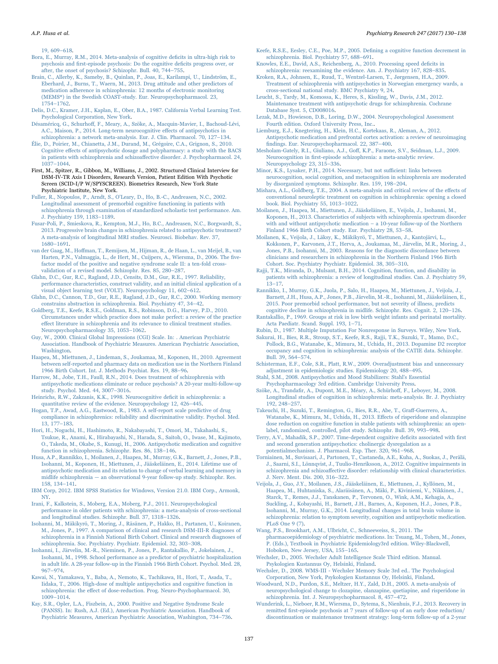[19, 609](http://refhub.elsevier.com/S0165-16)30589-sbref4)–618.

- <span id="page-7-1"></span>[Bora, E., Murray, R.M., 2014. Meta-analysis of cognitive de](http://refhub.elsevier.com/S0165-16)30589-sbref5)ficits in ultra-high risk to psychosis and fi[rst-episode psychosis: Do the cognitive de](http://refhub.elsevier.com/S0165-16)30589-sbref5)ficits progress over, or [after, the onset of psychosis? Schizophr. Bull. 40, 744](http://refhub.elsevier.com/S0165-16)30589-sbref5)–755.
- <span id="page-7-44"></span>[Brain, C., Allerby, K., Sameby, B., Quinlan, P., Joas, E., Karilampi, U., Lindström, E.,](http://refhub.elsevier.com/S0165-16)30589-sbref6) [Eberhard, J., Burns, T., Waern, M., 2013. Drug attitude and other predictors of](http://refhub.elsevier.com/S0165-16)30589-sbref6) [medication adherence in schizophrenia: 12 months of electronic monitoring](http://refhub.elsevier.com/S0165-16)30589-sbref6) (MEMS®[\) in the Swedish COAST-study. Eur. Neuropsychopharmacol. 23,](http://refhub.elsevier.com/S0165-16)30589-sbref6) 1754–[1762](http://refhub.elsevier.com/S0165-16)30589-sbref6).

<span id="page-7-16"></span>[Delis, D.C., Kramer, J.H., Kaplan, E., Ober, B.A., 1987. California Verbal Learning Test.](http://refhub.elsevier.com/S0165-16)30589-sbref7) [Psychological Corporation, New York](http://refhub.elsevier.com/S0165-16)30589-sbref7).

- <span id="page-7-4"></span>Désaméricq, G., Schurhoff[, F., Meary, A., Szöke, A., Macquin-Mavier, I., Bachoud-Lévi,](http://refhub.elsevier.com/S0165-16)30589-sbref8) [A.C., Maison, P., 2014. Long-term neurocognitive e](http://refhub.elsevier.com/S0165-16)30589-sbref8)ffects of antipsychotics in [schizophrenia: a network meta-analysis. Eur. J. Clin. Pharmacol. 70, 127](http://refhub.elsevier.com/S0165-16)30589-sbref8)–134.
- <span id="page-7-6"></span>[Élie, D., Poirier, M., Chianetta, J.M., Durand, M., Grégoire, C.A., Grignon, S., 2010.](http://refhub.elsevier.com/S0165-16)30589-sbref9) Cognitive eff[ects of antipsychotic dosage and polypharmacy: a study with the BACS](http://refhub.elsevier.com/S0165-16)30589-sbref9) [in patients with schizophrenia and schizoa](http://refhub.elsevier.com/S0165-16)30589-sbref9)ffective disorder. J. Psychopharmacol. 24, 1037–[1044](http://refhub.elsevier.com/S0165-16)30589-sbref9).
- <span id="page-7-14"></span>First, M., Spitzer, R., Gibbon, M., Williams, J., 2002. Structured Clinical Interview for DSM-IV-TR Axis I Disorders, Research Version, Patient Edition With Psychotic Screen (SCID-I/P W/SPYSCREEN). Biometrics Research, New York State Psychiatric Institute, New York.
- <span id="page-7-34"></span>[Fuller, R., Nopoulos, P., Arndt, S., O'Leary, D., Ho, B.-C., Andreasen, N.C., 2002.](http://refhub.elsevier.com/S0165-16)30589-sbref10) [Longitudinal assessment of premorbid cognitive functioning in patients with](http://refhub.elsevier.com/S0165-16)30589-sbref10) [schizophrenia through examination of standardized scholastic test performance. Am.](http://refhub.elsevier.com/S0165-16)30589-sbref10) [J. Psychiatry 159, 1183](http://refhub.elsevier.com/S0165-16)30589-sbref10)–1189.
- [Fusar-Poli, P., Smieskova, R., Kempton, M.J., Ho, B.C., Andreasen, N.C., Borgwardt, S.,](http://refhub.elsevier.com/S0165-16)30589-sbref11) [2013. Progressive brain changes in schizophrenia related to antipsychotic treatment?](http://refhub.elsevier.com/S0165-16)30589-sbref11) [A meta-analysis of longitudinal MRI studies. Neurosci. Biobehav. Rev. 37,](http://refhub.elsevier.com/S0165-16)30589-sbref11) 1680–[1691](http://refhub.elsevier.com/S0165-16)30589-sbref11).
- <span id="page-7-23"></span>van der Gaag, M., Hoff[man, T., Remijsen, M., Hijman, R., de Haan, L., van Meijel, B., van](http://refhub.elsevier.com/S0165-16)30589-sbref12) [Harten, P.N., Valmaggia, L., de Hert, M., Cuijpers, A., Wiersma, D., 2006. The](http://refhub.elsevier.com/S0165-16)30589-sbref12) five[factor model of the positive and negative syndrome scale II: a ten-fold cross](http://refhub.elsevier.com/S0165-16)30589-sbref12)[validation of a revised model. Schizophr. Res. 85, 280](http://refhub.elsevier.com/S0165-16)30589-sbref12)–287.
- <span id="page-7-17"></span>[Glahn, D.C., Gur, R.C., Ragland, J.D., Censits, D.M., Gur, R.E., 1997. Reliability,](http://refhub.elsevier.com/S0165-16)30589-sbref13) [performance characteristics, construct validity, and an initial clinical application of a](http://refhub.elsevier.com/S0165-16)30589-sbref13) [visual object learning test \(VOLT\). Neuropsychology 11, 602](http://refhub.elsevier.com/S0165-16)30589-sbref13)–612.
- <span id="page-7-15"></span>[Glahn, D.C., Cannon, T.D., Gur, R.E., Ragland, J.D., Gur, R.C., 2000. Working memory](http://refhub.elsevier.com/S0165-16)30589-sbref14) [constrains abstraction in schizophrenia. Biol. Psychiatry 47, 34](http://refhub.elsevier.com/S0165-16)30589-sbref14)–42.
- <span id="page-7-29"></span>[Goldberg, T.E., Keefe, R.S.E., Goldman, R.S., Robinson, D.G., Harvey, P.D., 2010.](http://refhub.elsevier.com/S0165-16)30589-sbref15) [Circumstances under which practice does not make perfect: a review of the practice](http://refhub.elsevier.com/S0165-16)30589-sbref15) eff[ect literature in schizophrenia and its relevance to clinical treatment studies.](http://refhub.elsevier.com/S0165-16)30589-sbref15) [Neuropsychopharmacology 35, 1053](http://refhub.elsevier.com/S0165-16)30589-sbref15)–1062.
- <span id="page-7-24"></span>[Guy, W., 2000. Clinical Global Impressions \(CGI\) Scale. In: . American Psychiatric](http://refhub.elsevier.com/S0165-16)30589-sbref16) [Association. Handbook of Psychiatric Measures. American Psychiatric Association,](http://refhub.elsevier.com/S0165-16)30589-sbref16) [Washington.](http://refhub.elsevier.com/S0165-16)30589-sbref16)
- <span id="page-7-13"></span>[Haapea, M., Miettunen, J., Lindeman, S., Joukamaa, M., Koponen, H., 2010. Agreement](http://refhub.elsevier.com/S0165-16)30589-sbref17) [between self-reported and pharmacy data on medication use in the Northern Finland](http://refhub.elsevier.com/S0165-16)30589-sbref17) [1966 Birth Cohort. Int. J. Methods Psychiat. Res. 19, 88](http://refhub.elsevier.com/S0165-16)30589-sbref17)–96.
- <span id="page-7-42"></span>Harrow, [M., Jobe, T.H., Faull, R.N., 2014. Does treatment of schizophrenia with](http://refhub.elsevier.com/S0165-16)30589-sbref18) [antipsychotic medications eliminate or reduce psychosis? A 20-year multi-follow-up](http://refhub.elsevier.com/S0165-16)30589-sbref18) [study. Psychol. Med. 44, 3007](http://refhub.elsevier.com/S0165-16)30589-sbref18)–3016.
- <span id="page-7-0"></span>[Heinrichs, R.W., Zakzanis, K.K., 1998. Neurocognitive de](http://refhub.elsevier.com/S0165-16)30589-sbref19)ficit in schizophrenia: a [quantitative review of the evidence. Neuropsychology 12, 426](http://refhub.elsevier.com/S0165-16)30589-sbref19)–445.
- <span id="page-7-25"></span>[Hogan, T.P., Awad, A.G., Eastwood, R., 1983. A self-report scale predictive of drug](http://refhub.elsevier.com/S0165-16)30589-sbref20) [compliance in schizophrenics: reliability and discriminative validity. Psychol. Med.](http://refhub.elsevier.com/S0165-16)30589-sbref20) [13, 177](http://refhub.elsevier.com/S0165-16)30589-sbref20)–183.
- <span id="page-7-7"></span>[Hori, H., Noguchi, H., Hashimoto, R., Nakabayashi, T., Omori, M., Takahashi, S.,](http://refhub.elsevier.com/S0165-16)30589-sbref21) [Tsukue, R., Anami, K., Hirabayashi, N., Harada, S., Saitoh, O., Iwase, M., Kajimoto,](http://refhub.elsevier.com/S0165-16)30589-sbref21) [O., Takeda, M., Okabe, S., Kunugi, H., 2006. Antipsychotic medication and cognitive](http://refhub.elsevier.com/S0165-16)30589-sbref21) [function in schizophrenia. Schizophr. Res. 86, 138](http://refhub.elsevier.com/S0165-16)30589-sbref21)–146.
- <span id="page-7-3"></span>[Husa, A.P., Rannikko, I., Moilanen, J., Haapea, M., Murray, G.K., Barnett, J., Jones, P.B.,](http://refhub.elsevier.com/S0165-16)30589-sbref22) [Isohanni, M., Koponen, H., Miettunen, J., Jääskeläinen, E., 2014. Lifetime use of](http://refhub.elsevier.com/S0165-16)30589-sbref22) [antipsychotic medication and its relation to change of verbal learning and memory in](http://refhub.elsevier.com/S0165-16)30589-sbref22) midlife schizophrenia — [an observational 9-year follow-up study. Schizophr. Res.](http://refhub.elsevier.com/S0165-16)30589-sbref22) [158, 134](http://refhub.elsevier.com/S0165-16)30589-sbref22)–141.
- <span id="page-7-27"></span>[IBM Corp, 2012. IBM SPSS Statistics for Windows, Version 21.0. IBM Corp., Armonk,](http://refhub.elsevier.com/S0165-16)30589-sbref23) [NY](http://refhub.elsevier.com/S0165-16)30589-sbref23).
- <span id="page-7-30"></span>[Irani, F., Kalkstein, S., Moberg, E.A., Moberg, P.J., 2011. Neuropsychological](http://refhub.elsevier.com/S0165-16)30589-sbref24) [performance in older patients with schizophrenia: a meta-analysis of cross-sectional](http://refhub.elsevier.com/S0165-16)30589-sbref24) [and longitudinal studies. Schizophr. Bull. 37, 1318](http://refhub.elsevier.com/S0165-16)30589-sbref24)–1326.
- <span id="page-7-12"></span>[Isohanni, M., Mäkikyrö, T., Moring, J., Räsänen, P., Hakko, H., Partanen, U., Koiranen,](http://refhub.elsevier.com/S0165-16)30589-sbref25) [M., Jones, P., 1997. A comparison of clinical and research DSM-III-R diagnoses of](http://refhub.elsevier.com/S0165-16)30589-sbref25) [schizophrenia in a Finnish National Birth Cohort. Clinical and research diagnoses of](http://refhub.elsevier.com/S0165-16)30589-sbref25) [schizophrenia. Soc. Psychiatry. Psychiatr. Epidemiol. 32, 303](http://refhub.elsevier.com/S0165-16)30589-sbref25)–308.
- <span id="page-7-21"></span>[Isohanni, I., Järvelin, M.-R., Nieminen, P., Jones, P., Rantakallio, P., Jokelainen, J.,](http://refhub.elsevier.com/S0165-16)30589-sbref26) [Isohanni, M., 1998. School performance as a predictor of psychiatric hospitalization](http://refhub.elsevier.com/S0165-16)30589-sbref26) [in adult life. A 28-year follow-up in the Finnish 1966 Birth Cohort. Psychol. Med. 28,](http://refhub.elsevier.com/S0165-16)30589-sbref26) 967–[974](http://refhub.elsevier.com/S0165-16)30589-sbref26).
- <span id="page-7-8"></span>[Kawai, N., Yamakawa, Y., Baba, A., Nemoto, K., Tachikawa, H., Hori, T., Asada, T.,](http://refhub.elsevier.com/S0165-16)30589-sbref27) [Iidaka, T., 2006. High-dose of multiple antipsychotics and cognitive function in](http://refhub.elsevier.com/S0165-16)30589-sbref27) schizophrenia: the eff[ect of dose-reduction. Prog. Neuro-Psychopharmacol. 30,](http://refhub.elsevier.com/S0165-16)30589-sbref27) 1009–[1014](http://refhub.elsevier.com/S0165-16)30589-sbref27).
- <span id="page-7-22"></span>[Kay, S.R., Opler, L.A., Fiszbein, A., 2000. Positive and Negative Syndrome Scale](http://refhub.elsevier.com/S0165-16)30589-sbref28) [\(PANSS\). In: Rush, A.J. \(Ed.\), American Psychiatric Association. Handbook of](http://refhub.elsevier.com/S0165-16)30589-sbref28) [Psychiatric Measures, American Psychiatric Association, Washington, 734](http://refhub.elsevier.com/S0165-16)30589-sbref28)–736.
- [Keefe, R.S.E., Eesley, C.E., Poe, M.P., 2005. De](http://refhub.elsevier.com/S0165-16)30589-sbref29)fining a cognitive function decrement in [schizophrenia. Biol. Psychiatry 57, 688](http://refhub.elsevier.com/S0165-16)30589-sbref29)–691.
- <span id="page-7-31"></span>[Knowles, E.E., David, A.S., Reichenberg, A., 2010. Processing speed de](http://refhub.elsevier.com/S0165-16)30589-sbref30)ficits in [schizophrenia: reexamining the evidence. Am. J. Psychiatry 167, 828](http://refhub.elsevier.com/S0165-16)30589-sbref30)–835.
- <span id="page-7-28"></span>[Kroken, R.A., Johnsen, E., Ruud, T., Wentzel-Larsen, T., Jørgensen, H.A., 2009.](http://refhub.elsevier.com/S0165-16)30589-sbref31) [Treatment of schizophrenia with antipsychotics in Norwegian emergency wards, a](http://refhub.elsevier.com/S0165-16)30589-sbref31) [cross-sectional national study. BMC Psychiatry 9, 24.](http://refhub.elsevier.com/S0165-16)30589-sbref31)
- <span id="page-7-9"></span>[Leucht, S., Tardy, M., Komossa, K., Heres, S., Kissling, W., Davis, J.M., 2012.](http://refhub.elsevier.com/S0165-16)30589-sbref32) [Maintenance treatment with antipsychotic drugs for schizophrenia. Cochrane](http://refhub.elsevier.com/S0165-16)30589-sbref32) [Database Syst. 5, CD008016](http://refhub.elsevier.com/S0165-16)30589-sbref32).
- <span id="page-7-18"></span>[Lezak, M.D., Howieson, D.B., Loring, D.W., 2004. Neuropsychological Assessment](http://refhub.elsevier.com/S0165-16)30589-sbref33) [Fourth edition. Oxford University Press, Inc..](http://refhub.elsevier.com/S0165-16)30589-sbref33)
- <span id="page-7-37"></span>[Liemburg, E.J., Knegtering, H., Klein, H.C., Kortekaas, R., Aleman, A., 2012.](http://refhub.elsevier.com/S0165-16)30589-sbref34) Antipsychotic [medication and prefrontal cortex activation: a review of neuroimaging](http://refhub.elsevier.com/S0165-16)30589-sbref34) fi[ndings. Eur. Neuropsychopharmacol. 22, 387](http://refhub.elsevier.com/S0165-16)30589-sbref34)–400.
- Mesholam-Gately, R.I., Giuliano, A.J., Goff[, K.P., Faraone, S.V., Seidman, L.J., 2009.](http://refhub.elsevier.com/S0165-16)30589-sbref35) Neurocognition in fi[rst-episode schizophrenia: a meta-analytic review.](http://refhub.elsevier.com/S0165-16)30589-sbref35) [Neuropsychology 23, 315](http://refhub.elsevier.com/S0165-16)30589-sbref35)–336.
- <span id="page-7-33"></span>[Minor, K.S., Lysaker, P.H., 2014. Necessary, but not su](http://refhub.elsevier.com/S0165-16)30589-sbref36)fficient: links between [neurocognition, social cognition, and metacognition in schizophrenia are moderated](http://refhub.elsevier.com/S0165-16)30589-sbref36) [by disorganized symptoms. Schizophr. Res. 159, 198](http://refhub.elsevier.com/S0165-16)30589-sbref36)–204.
- <span id="page-7-5"></span>[Mishara, A.L., Goldberg, T.E., 2004. A meta-analysis and critical review of the e](http://refhub.elsevier.com/S0165-16)30589-sbref37)ffects of [conventional neuroleptic treatment on cognition in schizophrenia: opening a closed](http://refhub.elsevier.com/S0165-16)30589-sbref37) [book. Biol. Psychiatry 55, 1013](http://refhub.elsevier.com/S0165-16)30589-sbref37)–1022.
- <span id="page-7-43"></span>[Moilanen, J., Haapea, M., Miettunen, J., Jääskeläinen, E., Veijola, J., Isohanni, M.,](http://refhub.elsevier.com/S0165-16)30589-sbref38) [Koponen, H., 2013. Characteristics of subjects with schizophrenia spectrum disorder](http://refhub.elsevier.com/S0165-16)30589-sbref38) [with and without antipsychotic medication](http://refhub.elsevier.com/S0165-16)30589-sbref38) – a 10-year follow-up of the Northern [Finland 1966 Birth Cohort study. Eur. Psychiatry 28, 53](http://refhub.elsevier.com/S0165-16)30589-sbref38)–58.
- [Moilanen, K., Veijola, J., Läksy, K., Mäkikyrö, T., Miettunen, J., Kantojärvi, L.,](http://refhub.elsevier.com/S0165-16)30589-sbref39) [Kokkonen, P., Karvonen, J.T., Herva, A., Joukamaa, M., Järvelin, M.R., Moring, J.,](http://refhub.elsevier.com/S0165-16)30589-sbref39) [Jones, P.B., Isohanni, M., 2003. Reasons for the diagnostic discordance between](http://refhub.elsevier.com/S0165-16)30589-sbref39) [clinicians and researchers in schizophrenia in the Northern Finland 1966 Birth](http://refhub.elsevier.com/S0165-16)30589-sbref39) [Cohort. Soc. Psychiatry Psychiatr. Epidemiol. 38, 305](http://refhub.elsevier.com/S0165-16)30589-sbref39)–310.
- <span id="page-7-2"></span>[Rajji, T.K., Miranda, D., Mulsant, B.H., 2014. Cognition, function, and disability in](http://refhub.elsevier.com/S0165-16)30589-sbref40) [patients with schizophrenia: a review of longitudinal studies. Can. J. Psychiatry 59,](http://refhub.elsevier.com/S0165-16)30589-sbref40) 13–[17](http://refhub.elsevier.com/S0165-16)30589-sbref40).

<span id="page-7-35"></span>[Rannikko, I., Murray, G.K., Juola, P., Salo, H., Haapea, M., Miettunen, J., Veijola, J.,](http://refhub.elsevier.com/S0165-16)30589-sbref41) [Barnett, J.H., Husa, A.P., Jones, P.B., Järvelin, M.-R., Isohanni, M., Jääskeläinen, E.,](http://refhub.elsevier.com/S0165-16)30589-sbref41) [2015. Poor premorbid school performance, but not severity of illness, predicts](http://refhub.elsevier.com/S0165-16)30589-sbref41) [cognitive decline in schizophrenia in midlife. Schizophr. Res. Cognit. 2, 120](http://refhub.elsevier.com/S0165-16)30589-sbref41)–126.

- <span id="page-7-11"></span>[Rantakallio, P., 1969. Groups at risk in low birth weight infants and perinatal mortality.](http://refhub.elsevier.com/S0165-16)30589-sbref42) [Acta Paediatr. Scand. Suppl. 193, 1](http://refhub.elsevier.com/S0165-16)30589-sbref42)–71.
- <span id="page-7-26"></span>[Rubin, D., 1987. Multiple Imputation For Nonresponse in Surveys. Wiley, New York.](http://refhub.elsevier.com/S0165-16)30589-sbref43)
- <span id="page-7-38"></span>[Sakurai, H., Bies, R.R., Stroup, S.T., Keefe, R.S., Rajji, T.K., Suzuki, T., Mamo, D.C.,](http://refhub.elsevier.com/S0165-16)30589-sbref44) [Pollock, B.G., Watanabe, K., Mimura, M., Uchida, H., 2013. Dopamine D2 receptor](http://refhub.elsevier.com/S0165-16)30589-sbref44) [occupancy and cognition in schizophrenia: analysis of the CATIE data. Schizophr.](http://refhub.elsevier.com/S0165-16)30589-sbref44) [Bull. 39, 564](http://refhub.elsevier.com/S0165-16)30589-sbref44)–574.
- <span id="page-7-36"></span>[Schisterman, E.F., Cole, S.R., Platt, R.W., 2009. Overadjustment bias and unnecessary](http://refhub.elsevier.com/S0165-16)30589-sbref45) [adjustment in epidemiologic studies. Epidemiology 20, 488](http://refhub.elsevier.com/S0165-16)30589-sbref45)–495.
- <span id="page-7-40"></span>[Stahl, S.M., 2008. Antipsychotics and Mood Stabilizers: Stahl's Essential](http://refhub.elsevier.com/S0165-16)30589-sbref46) [Psychopharmacology 3rd edition. Cambridge University Press.](http://refhub.elsevier.com/S0165-16)30589-sbref46)
- Szöke, A., Trandafi[r, A., Dupont, M.E., Méary, A., Schürho](http://refhub.elsevier.com/S0165-16)30589-sbref47)ff, F., Leboyer, M., 2008. [Longitudinal studies of cognition in schizophrenia: meta-analysis. Br. J. Psychiatry](http://refhub.elsevier.com/S0165-16)30589-sbref47) [192, 248](http://refhub.elsevier.com/S0165-16)30589-sbref47)–257.
- [Takeuchi, H., Suzuki, T., Remington, G., Bies, R.R., Abe, T., Gra](http://refhub.elsevier.com/S0165-16)30589-sbref48)ff-Guerrero, A., [Watanabe, K., Mimura, M., Uchida, H., 2013. E](http://refhub.elsevier.com/S0165-16)30589-sbref48)ffects of risperidone and olanzapine [dose reduction on cognitive function in stable patients with schizophrenia: an open](http://refhub.elsevier.com/S0165-16)30589-sbref48)[label, randomized, controlled, pilot study. Schizophr. Bull. 39, 993](http://refhub.elsevier.com/S0165-16)30589-sbref48)–998.
- <span id="page-7-39"></span>Terry, [A.V., Mahadik, S.P., 2007. Time-dependent cognitive de](http://refhub.elsevier.com/S0165-16)30589-sbref49)ficits associated with first [and second generation antipsychotics: cholinergic dysregulation as a](http://refhub.elsevier.com/S0165-16)30589-sbref49) [potentialmechanism. J. Pharmacol. Exp. Ther. 320, 961](http://refhub.elsevier.com/S0165-16)30589-sbref49)–968.
- [Torniainen, M., Suvisaari, J., Partonen, T., Castaneda, A.E., Kuha, A., Suokas, J., Perälä,](http://refhub.elsevier.com/S0165-16)30589-sbref50) [J., Saarni, S.I., Lönnqvist, J., Tuulio-Henriksson, A., 2012. Cognitive impairments in](http://refhub.elsevier.com/S0165-16)30589-sbref50) schizophrenia and schizoaff[ective disorder: relationship with clinical characteristics.](http://refhub.elsevier.com/S0165-16)30589-sbref50) [J. Nerv. Ment. Dis. 200, 316](http://refhub.elsevier.com/S0165-16)30589-sbref50)–322.
- <span id="page-7-32"></span>[Veijola, J., Guo, J.Y., Moilanen, J.S., Jääskeläinen, E., Miettunen, J., Kyllönen, M.,](http://refhub.elsevier.com/S0165-16)30589-sbref51) [Haapea, M., Huhtaniska, S., Alaräisänen, A., Mäki, P., Kiviniemi, V., Nikkinen, J.,](http://refhub.elsevier.com/S0165-16)30589-sbref51) [Starck, T., Remes, J.J., Tanskanen, P., Tervonen, O., Wink, A.M., Kehagia, A.,](http://refhub.elsevier.com/S0165-16)30589-sbref51) [Suckling, J., Kobayashi, H., Barnett, J.H., Barnes, A., Koponen, H.J., Jones, P.B.,](http://refhub.elsevier.com/S0165-16)30589-sbref51) [Isohanni, M., Murray, G.K., 2014. Longitudinal changes in total brain volume in](http://refhub.elsevier.com/S0165-16)30589-sbref51) [schizophrenia: relation to symptom severity, cognition and antipsychotic medication.](http://refhub.elsevier.com/S0165-16)30589-sbref51) [PLoS One 9 \(7\)](http://refhub.elsevier.com/S0165-16)30589-sbref51).
- <span id="page-7-10"></span>[Wang, P.S., Brookhart, A.M., Ulbricht, C., Schneeweiss, S., 2011. The](http://refhub.elsevier.com/S0165-16)30589-sbref52) [pharmacoepidemiology of psychiatric medications. In: Tsuang, M., Tohen, M., Jones,](http://refhub.elsevier.com/S0165-16)30589-sbref52) [P. \(Eds.\), Textbook in Psychiatric Epidemiology3rd edition. Wiley-Blackwell,](http://refhub.elsevier.com/S0165-16)30589-sbref52) [Hoboken, New Jersey, USA, 155](http://refhub.elsevier.com/S0165-16)30589-sbref52)–165.
- <span id="page-7-20"></span>[Wechsler, D., 2005. Wechsler Adult Intelligence Scale Third edition. Manual.](http://refhub.elsevier.com/S0165-16)30589-sbref53) [Psykologien Kustannus Oy, Helsinki, Finland](http://refhub.elsevier.com/S0165-16)30589-sbref53).
- <span id="page-7-19"></span>[Wechsler, D., 2008. WMS-III - Wechsler Memory Scale 3rd ed.. The Psychological](http://refhub.elsevier.com/S0165-16)30589-sbref54) [Corporation, New York, Psykologien Kustannus Oy, Helsinki, Finland](http://refhub.elsevier.com/S0165-16)30589-sbref54).
- [Woodward, N.D., Purdon, S.E., Meltzer, H.Y., Zald, D.H., 2005. A meta-analysis of](http://refhub.elsevier.com/S0165-16)30589-sbref55) [neuropsychological change to clozapine, olanzapine, quetiapine, and risperidone in](http://refhub.elsevier.com/S0165-16)30589-sbref55) [schizophrenia. Int. J. Neuropsychopharmacol. 8, 457](http://refhub.elsevier.com/S0165-16)30589-sbref55)–472.
- <span id="page-7-41"></span>[Wunderink, L., Nieboer, R.M., Wiersma, D., Sytema, S., Nienhuis, F.J., 2013. Recovery in](http://refhub.elsevier.com/S0165-16)30589-sbref56) remitted fi[rst-episode psychosis at 7 years of follow-up of an early dose reduction/](http://refhub.elsevier.com/S0165-16)30589-sbref56) [discontinuation or maintenance treatment strategy: long-term follow-up of a 2-year](http://refhub.elsevier.com/S0165-16)30589-sbref56)